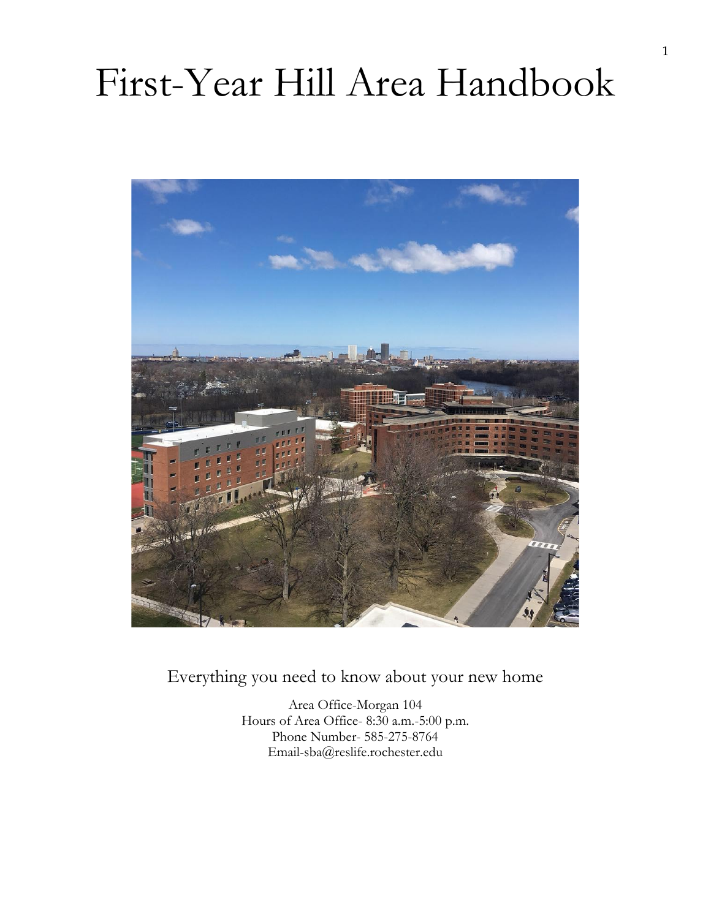# First-Year Hill Area Handbook



Everything you need to know about your new home

Area Office-Morgan 104 Hours of Area Office- 8:30 a.m.-5:00 p.m. Phone Number- 585-275-8764 Email-sba@reslife.rochester.edu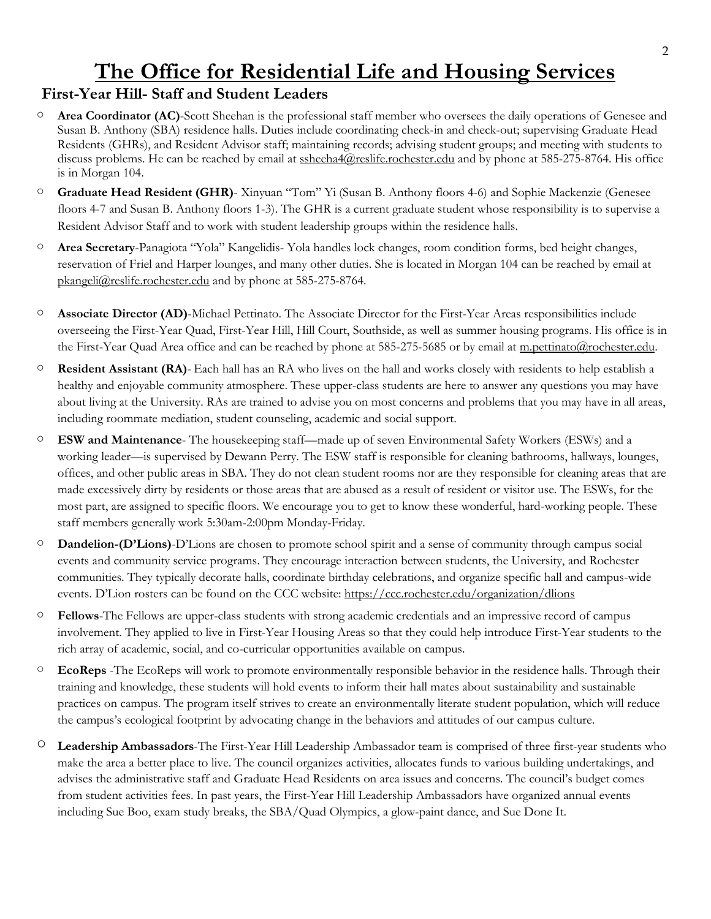#### 2

## **The Office for Residential Life and Housing Services**

#### **First-Year Hill- Staff and Student Leaders**

- **Area Coordinator (AC)**-Scott Sheehan is the professional staff member who oversees the daily operations of Genesee and Susan B. Anthony (SBA) residence halls. Duties include coordinating check-in and check-out; supervising Graduate Head Residents (GHRs), and Resident Advisor staff; maintaining records; advising student groups; and meeting with students to discuss problems. He can be reached by email at [ssheeha4@reslife.rochester.edu](mailto:ssheeha4@reslife.rochester.edu) and by phone at 585-275-8764. His office is in Morgan 104.
- **Graduate Head Resident (GHR)** Xinyuan "Tom" Yi (Susan B. Anthony floors 4-6) and Sophie Mackenzie (Genesee floors 4-7 and Susan B. Anthony floors 1-3). The GHR is a current graduate student whose responsibility is to supervise a Resident Advisor Staff and to work with student leadership groups within the residence halls.
- **Area Secretary**-Panagiota "Yola" Kangelidis- Yola handles lock changes, room condition forms, bed height changes, reservation of Friel and Harper lounges, and many other duties. She is located in Morgan 104 can be reached by email at [pkangeli@reslife.rochester.edu](mailto:pkangeli@reslife.rochester.edu) and by phone at 585-275-8764.
- **Associate Director (AD)**-Michael Pettinato. The Associate Director for the First-Year Areas responsibilities include overseeing the First-Year Quad, First-Year Hill, Hill Court, Southside, as well as summer housing programs. His office is in the First-Year Quad Area office and can be reached by phone at 585-275-5685 or by email at [m.pettinato@rochester.edu.](mailto:m.pettinato@rochester.edu)
- **Resident Assistant (RA)** Each hall has an RA who lives on the hall and works closely with residents to help establish a healthy and enjoyable community atmosphere. These upper-class students are here to answer any questions you may have about living at the University. RAs are trained to advise you on most concerns and problems that you may have in all areas, including roommate mediation, student counseling, academic and social support.
- **ESW and Maintenance** The housekeeping staff—made up of seven Environmental Safety Workers (ESWs) and a working leader—is supervised by Dewann Perry. The ESW staff is responsible for cleaning bathrooms, hallways, lounges, offices, and other public areas in SBA. They do not clean student rooms nor are they responsible for cleaning areas that are made excessively dirty by residents or those areas that are abused as a result of resident or visitor use. The ESWs, for the most part, are assigned to specific floors. We encourage you to get to know these wonderful, hard-working people. These staff members generally work 5:30am-2:00pm Monday-Friday.
- **Dandelion-(D'Lions)**-D'Lions are chosen to promote school spirit and a sense of community through campus social events and community service programs. They encourage interaction between students, the University, and Rochester communities. They typically decorate halls, coordinate birthday celebrations, and organize specific hall and campus-wide events. D'Lion rosters can be found on the CCC website: <https://ccc.rochester.edu/organization/dlions>
- **Fellows**-The Fellows are upper-class students with strong academic credentials and an impressive record of campus involvement. They applied to live in First-Year Housing Areas so that they could help introduce First-Year students to the rich array of academic, social, and co-curricular opportunities available on campus.
- **EcoReps** -The EcoReps will work to promote environmentally responsible behavior in the residence halls. Through their training and knowledge, these students will hold events to inform their hall mates about sustainability and sustainable practices on campus. The program itself strives to create an environmentally literate student population, which will reduce the campus's ecological footprint by advocating change in the behaviors and attitudes of our campus culture.
- **Leadership Ambassadors**-The First-Year Hill Leadership Ambassador team is comprised of three first-year students who make the area a better place to live. The council organizes activities, allocates funds to various building undertakings, and advises the administrative staff and Graduate Head Residents on area issues and concerns. The council's budget comes from student activities fees. In past years, the First-Year Hill Leadership Ambassadors have organized annual events including Sue Boo, exam study breaks, the SBA/Quad Olympics, a glow-paint dance, and Sue Done It.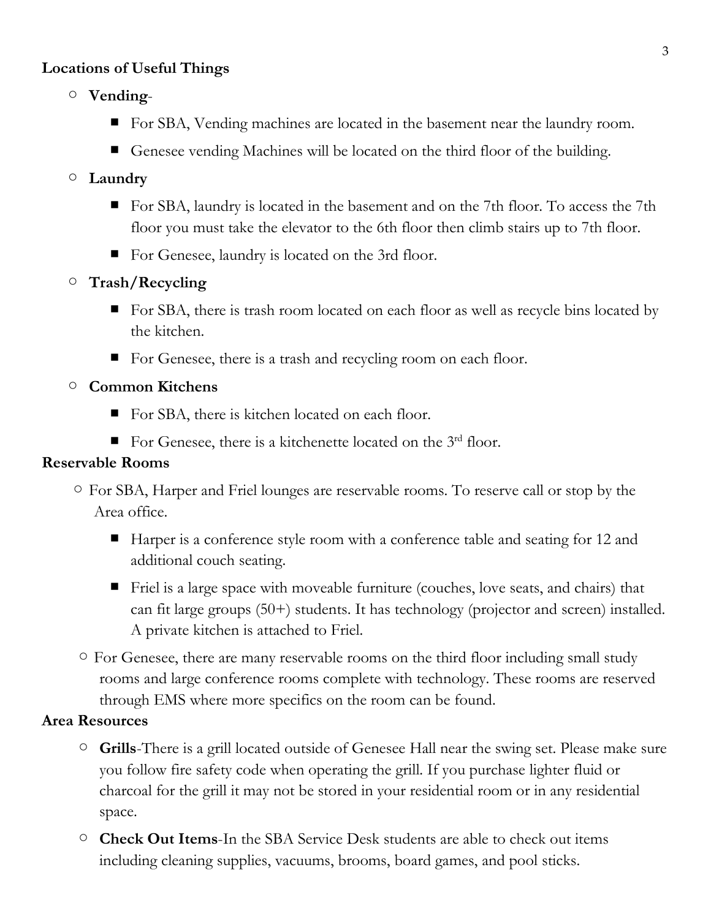#### **Locations of Useful Things**

- **Vending**
	- For SBA, Vending machines are located in the basement near the laundry room.
	- Genesee vending Machines will be located on the third floor of the building.

#### ○ **Laundry**

- For SBA, laundry is located in the basement and on the 7th floor. To access the 7th floor you must take the elevator to the 6th floor then climb stairs up to 7th floor.
- For Genesee, laundry is located on the 3rd floor.

#### ○ **Trash/Recycling**

- For SBA, there is trash room located on each floor as well as recycle bins located by the kitchen.
- For Genesee, there is a trash and recycling room on each floor.

#### ○ **Common Kitchens**

- For SBA, there is kitchen located on each floor.
- For Genesee, there is a kitchenette located on the 3<sup>rd</sup> floor.

#### **Reservable Rooms**

- For SBA, Harper and Friel lounges are reservable rooms. To reserve call or stop by the Area office.
	- Harper is a conference style room with a conference table and seating for 12 and additional couch seating.
	- Friel is a large space with moveable furniture (couches, love seats, and chairs) that can fit large groups (50+) students. It has technology (projector and screen) installed. A private kitchen is attached to Friel.
- For Genesee, there are many reservable rooms on the third floor including small study rooms and large conference rooms complete with technology. These rooms are reserved through EMS where more specifics on the room can be found.

#### **Area Resources**

- **Grills**-There is a grill located outside of Genesee Hall near the swing set. Please make sure you follow fire safety code when operating the grill. If you purchase lighter fluid or charcoal for the grill it may not be stored in your residential room or in any residential space.
- **Check Out Items**-In the SBA Service Desk students are able to check out items including cleaning supplies, vacuums, brooms, board games, and pool sticks.